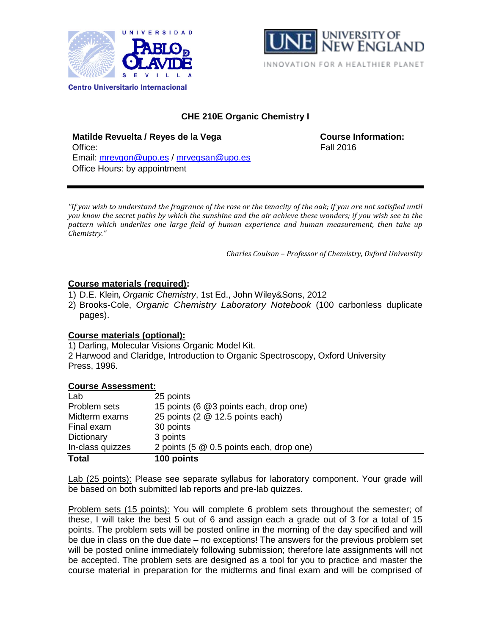



# **CHE 210E Organic Chemistry I**

**Matilde Revuelta / Reyes de la Vega COUTSE 1000 COUTSE Information:** Office: Fall 2016 Email: [mrevgon@upo.es](mailto:mrevgon@upo.es) / [mrvegsan@upo.es](mailto:mrvegsan@upo.es) Office Hours: by appointment

*"If you wish to understand the fragrance of the rose or the tenacity of the oak; if you are not satisfied until you know the secret paths by which the sunshine and the air achieve these wonders; if you wish see to the pattern which underlies one large field of human experience and human measurement, then take up Chemistry."*

*Charles Coulson – Professor of Chemistry, Oxford University*

## **Course materials (required):**

- 1) D.E. Klein, *Organic Chemistry*, 1st Ed., John Wiley&Sons, 2012
- 2) Brooks-Cole, *Organic Chemistry Laboratory Notebook* (100 carbonless duplicate pages).

## **Course materials (optional):**

1) Darling, Molecular Visions Organic Model Kit. 2 Harwood and Claridge, Introduction to Organic Spectroscopy, Oxford University Press, 1996.

## **Course Assessment:**

| Lab              | 25 points                                |
|------------------|------------------------------------------|
| Problem sets     | 15 points (6 @3 points each, drop one)   |
| Midterm exams    | 25 points (2 @ 12.5 points each)         |
| Final exam       | 30 points                                |
| Dictionary       | 3 points                                 |
| In-class quizzes | 2 points (5 @ 0.5 points each, drop one) |
| <b>Total</b>     | 100 points                               |

Lab (25 points): Please see separate syllabus for laboratory component. Your grade will be based on both submitted lab reports and pre-lab quizzes.

Problem sets (15 points): You will complete 6 problem sets throughout the semester; of these, I will take the best 5 out of 6 and assign each a grade out of 3 for a total of 15 points. The problem sets will be posted online in the morning of the day specified and will be due in class on the due date – no exceptions! The answers for the previous problem set will be posted online immediately following submission; therefore late assignments will not be accepted. The problem sets are designed as a tool for you to practice and master the course material in preparation for the midterms and final exam and will be comprised of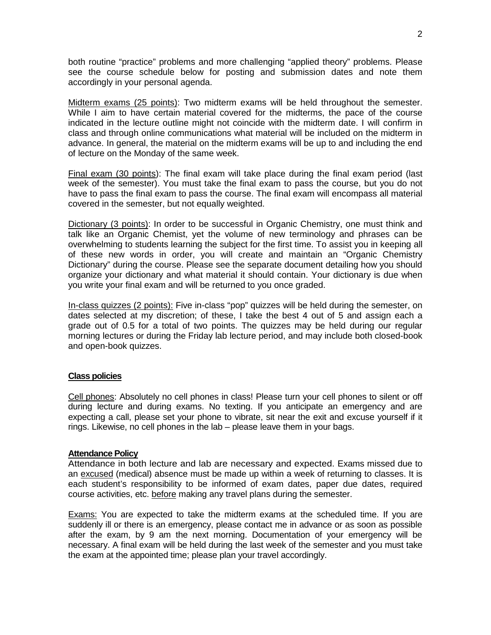both routine "practice" problems and more challenging "applied theory" problems. Please see the course schedule below for posting and submission dates and note them accordingly in your personal agenda.

Midterm exams (25 points): Two midterm exams will be held throughout the semester. While I aim to have certain material covered for the midterms, the pace of the course indicated in the lecture outline might not coincide with the midterm date. I will confirm in class and through online communications what material will be included on the midterm in advance. In general, the material on the midterm exams will be up to and including the end of lecture on the Monday of the same week.

Final exam (30 points): The final exam will take place during the final exam period (last week of the semester). You must take the final exam to pass the course, but you do not have to pass the final exam to pass the course. The final exam will encompass all material covered in the semester, but not equally weighted.

Dictionary (3 points): In order to be successful in Organic Chemistry, one must think and talk like an Organic Chemist, yet the volume of new terminology and phrases can be overwhelming to students learning the subject for the first time. To assist you in keeping all of these new words in order, you will create and maintain an "Organic Chemistry Dictionary" during the course. Please see the separate document detailing how you should organize your dictionary and what material it should contain. Your dictionary is due when you write your final exam and will be returned to you once graded.

In-class quizzes (2 points): Five in-class "pop" quizzes will be held during the semester, on dates selected at my discretion; of these, I take the best 4 out of 5 and assign each a grade out of 0.5 for a total of two points. The quizzes may be held during our regular morning lectures or during the Friday lab lecture period, and may include both closed-book and open-book quizzes.

#### **Class policies**

Cell phones: Absolutely no cell phones in class! Please turn your cell phones to silent or off during lecture and during exams. No texting. If you anticipate an emergency and are expecting a call, please set your phone to vibrate, sit near the exit and excuse yourself if it rings. Likewise, no cell phones in the lab – please leave them in your bags.

#### **Attendance Policy**

Attendance in both lecture and lab are necessary and expected. Exams missed due to an excused (medical) absence must be made up within a week of returning to classes. It is each student's responsibility to be informed of exam dates, paper due dates, required course activities, etc. before making any travel plans during the semester.

Exams: You are expected to take the midterm exams at the scheduled time. If you are suddenly ill or there is an emergency, please contact me in advance or as soon as possible after the exam, by 9 am the next morning. Documentation of your emergency will be necessary. A final exam will be held during the last week of the semester and you must take the exam at the appointed time; please plan your travel accordingly.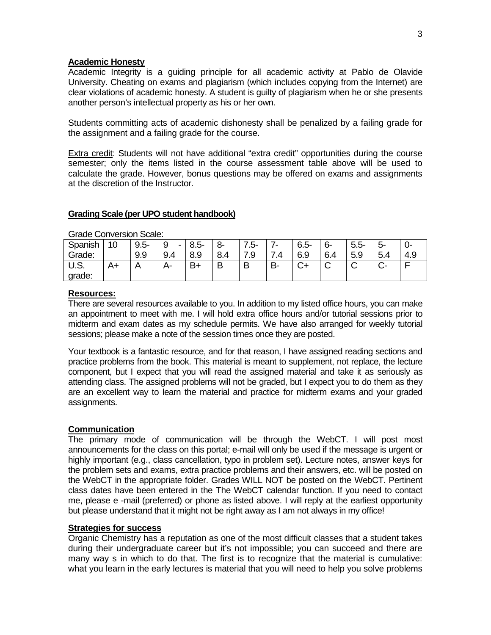#### **Academic Honesty**

Academic Integrity is a guiding principle for all academic activity at Pablo de Olavide University. Cheating on exams and plagiarism (which includes copying from the Internet) are clear violations of academic honesty. A student is guilty of plagiarism when he or she presents another person's intellectual property as his or her own.

Students committing acts of academic dishonesty shall be penalized by a failing grade for the assignment and a failing grade for the course.

**Extra credit:** Students will not have additional "extra credit" opportunities during the course semester; only the items listed in the course assessment table above will be used to calculate the grade. However, bonus questions may be offered on exams and assignments at the discretion of the Instructor.

#### **Grading Scale (per UPO student handbook)**

| OTAGO OOH MOTSIOH OGAIG. |    |         |                                |         |     |     |          |         |      |         |     |     |
|--------------------------|----|---------|--------------------------------|---------|-----|-----|----------|---------|------|---------|-----|-----|
| Spanish                  | 10 | $9.5 -$ | -9<br>$\overline{\phantom{0}}$ | $8.5 -$ | 8-  | .5- | -        | $6.5 -$ | $6-$ | $5.5 -$ | ∽-  | −∪− |
| Grade:                   |    | 9.9     | 9.4                            | 8.9     | 8.4 | '.9 | –<br>4.' | 6.9     | 6.4  | 5.9     | 5.4 | 4.9 |
| U.S.                     | A+ | A       | А-                             | В+      | B   | P   | В-       |         | ັ    | ◡       |     | -   |
| grade:                   |    |         |                                |         |     |     |          |         |      |         |     |     |

Grade Conversion Scale:

#### **Resources:**

There are several resources available to you. In addition to my listed office hours, you can make an appointment to meet with me. I will hold extra office hours and/or tutorial sessions prior to midterm and exam dates as my schedule permits. We have also arranged for weekly tutorial sessions; please make a note of the session times once they are posted.

Your textbook is a fantastic resource, and for that reason, I have assigned reading sections and practice problems from the book. This material is meant to supplement, not replace, the lecture component, but I expect that you will read the assigned material and take it as seriously as attending class. The assigned problems will not be graded, but I expect you to do them as they are an excellent way to learn the material and practice for midterm exams and your graded assignments.

#### **Communication**

The primary mode of communication will be through the WebCT. I will post most announcements for the class on this portal; e-mail will only be used if the message is urgent or highly important (e.g., class cancellation, typo in problem set). Lecture notes, answer keys for the problem sets and exams, extra practice problems and their answers, etc. will be posted on the WebCT in the appropriate folder. Grades WILL NOT be posted on the WebCT. Pertinent class dates have been entered in the The WebCT calendar function. If you need to contact me, please e -mail (preferred) or phone as listed above. I will reply at the earliest opportunity but please understand that it might not be right away as I am not always in my office!

#### **Strategies for success**

Organic Chemistry has a reputation as one of the most difficult classes that a student takes during their undergraduate career but it's not impossible; you can succeed and there are many way s in which to do that. The first is to recognize that the material is cumulative: what you learn in the early lectures is material that you will need to help you solve problems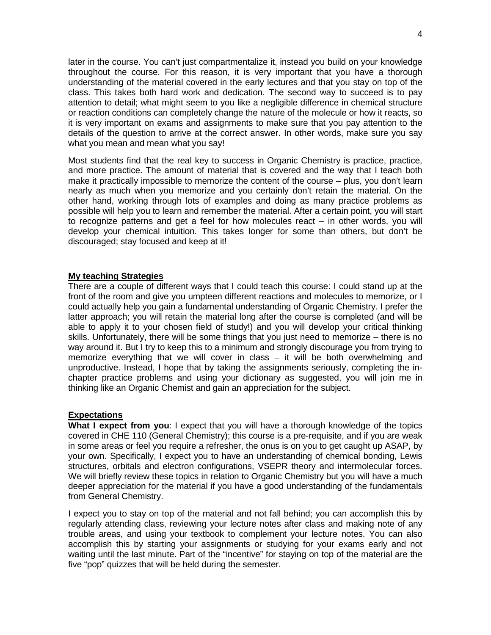later in the course. You can't just compartmentalize it, instead you build on your knowledge throughout the course. For this reason, it is very important that you have a thorough understanding of the material covered in the early lectures and that you stay on top of the class. This takes both hard work and dedication. The second way to succeed is to pay attention to detail; what might seem to you like a negligible difference in chemical structure or reaction conditions can completely change the nature of the molecule or how it reacts, so it is very important on exams and assignments to make sure that you pay attention to the details of the question to arrive at the correct answer. In other words, make sure you say what you mean and mean what you say!

Most students find that the real key to success in Organic Chemistry is practice, practice, and more practice. The amount of material that is covered and the way that I teach both make it practically impossible to memorize the content of the course – plus, you don't learn nearly as much when you memorize and you certainly don't retain the material. On the other hand, working through lots of examples and doing as many practice problems as possible will help you to learn and remember the material. After a certain point, you will start to recognize patterns and get a feel for how molecules react – in other words, you will develop your chemical intuition. This takes longer for some than others, but don't be discouraged; stay focused and keep at it!

#### **My teaching Strategies**

There are a couple of different ways that I could teach this course: I could stand up at the front of the room and give you umpteen different reactions and molecules to memorize, or I could actually help you gain a fundamental understanding of Organic Chemistry. I prefer the latter approach; you will retain the material long after the course is completed (and will be able to apply it to your chosen field of study!) and you will develop your critical thinking skills. Unfortunately, there will be some things that you just need to memorize – there is no way around it. But I try to keep this to a minimum and strongly discourage you from trying to memorize everything that we will cover in class – it will be both overwhelming and unproductive. Instead, I hope that by taking the assignments seriously, completing the inchapter practice problems and using your dictionary as suggested, you will join me in thinking like an Organic Chemist and gain an appreciation for the subject.

## **Expectations**

**What I expect from you**: I expect that you will have a thorough knowledge of the topics covered in CHE 110 (General Chemistry); this course is a pre-requisite, and if you are weak in some areas or feel you require a refresher, the onus is on you to get caught up ASAP, by your own. Specifically, I expect you to have an understanding of chemical bonding, Lewis structures, orbitals and electron configurations, VSEPR theory and intermolecular forces. We will briefly review these topics in relation to Organic Chemistry but you will have a much deeper appreciation for the material if you have a good understanding of the fundamentals from General Chemistry.

I expect you to stay on top of the material and not fall behind; you can accomplish this by regularly attending class, reviewing your lecture notes after class and making note of any trouble areas, and using your textbook to complement your lecture notes. You can also accomplish this by starting your assignments or studying for your exams early and not waiting until the last minute. Part of the "incentive" for staying on top of the material are the five "pop" quizzes that will be held during the semester.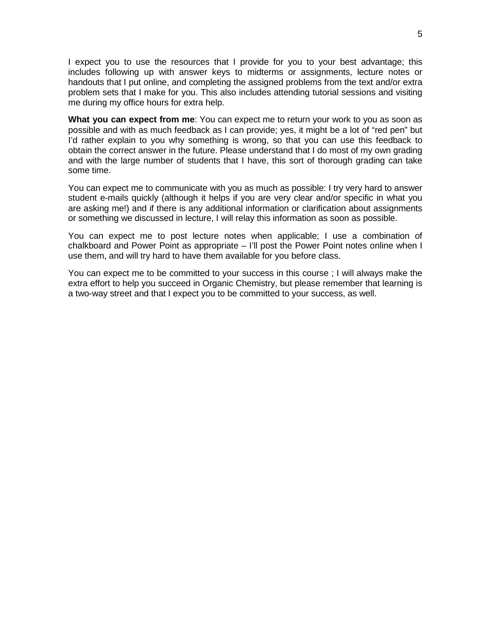I expect you to use the resources that I provide for you to your best advantage; this includes following up with answer keys to midterms or assignments, lecture notes or handouts that I put online, and completing the assigned problems from the text and/or extra problem sets that I make for you. This also includes attending tutorial sessions and visiting me during my office hours for extra help.

**What you can expect from me**: You can expect me to return your work to you as soon as possible and with as much feedback as I can provide; yes, it might be a lot of "red pen" but I'd rather explain to you why something is wrong, so that you can use this feedback to obtain the correct answer in the future. Please understand that I do most of my own grading and with the large number of students that I have, this sort of thorough grading can take some time.

You can expect me to communicate with you as much as possible: I try very hard to answer student e-mails quickly (although it helps if you are very clear and/or specific in what you are asking me!) and if there is any additional information or clarification about assignments or something we discussed in lecture, I will relay this information as soon as possible.

You can expect me to post lecture notes when applicable; I use a combination of chalkboard and Power Point as appropriate – I'll post the Power Point notes online when I use them, and will try hard to have them available for you before class.

You can expect me to be committed to your success in this course ; I will always make the extra effort to help you succeed in Organic Chemistry, but please remember that learning is a two-way street and that I expect you to be committed to your success, as well.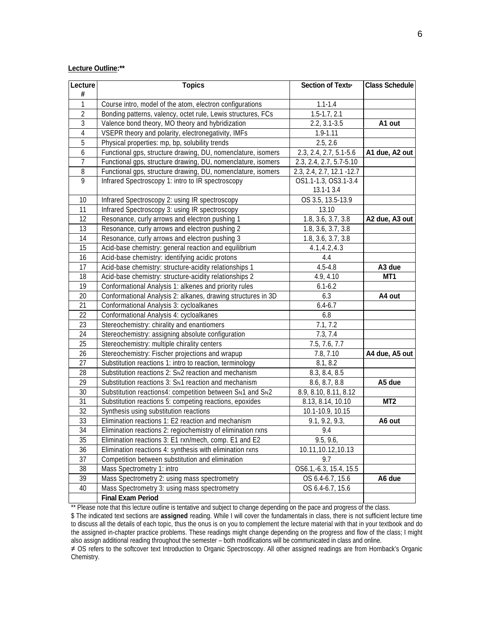#### **Lecture Outline:\*\***

| Lecture        | <b>Topics</b>                                                | Section of Texts≠                    | <b>Class Schedule</b> |
|----------------|--------------------------------------------------------------|--------------------------------------|-----------------------|
| #              |                                                              |                                      |                       |
| 1              | Course intro, model of the atom, electron configurations     | $1.1 - 1.4$                          |                       |
| 2              | Bonding patterns, valency, octet rule, Lewis structures, FCs | $\overline{1.5}$ -1.7, 2.1           |                       |
| 3              | Valence bond theory, MO theory and hybridization             | $2.2, 3.1 - 3.5$                     | A1 out                |
| 4              | VSEPR theory and polarity, electronegativity, IMFs           | $1.9 - 1.11$                         |                       |
| 5              | Physical properties: mp, bp, solubility trends               | 2.5, 2.6                             |                       |
| 6              | Functional gps, structure drawing, DU, nomenclature, isomers | 2.3, 2.4, 2.7, 5.1-5.6               | A1 due, A2 out        |
| 7              | Functional gps, structure drawing, DU, nomenclature, isomers | 2.3, 2.4, 2.7, 5.7-5.10              |                       |
| 8              | Functional gps, structure drawing, DU, nomenclature, isomers | 2.3, 2.4, 2.7, 12.1 -12.7            |                       |
| $\overline{9}$ | Infrared Spectroscopy 1: intro to IR spectroscopy            | OS1.1-1.3, OS3.1-3.4                 |                       |
|                |                                                              | 13.1-13.4                            |                       |
| 10             | Infrared Spectroscopy 2: using IR spectroscopy               | OS 3.5, 13.5-13.9                    |                       |
| 11             | Infrared Spectroscopy 3: using IR spectroscopy               | 13.10                                |                       |
| 12             | Resonance, curly arrows and electron pushing 1               | 1.8, 3.6, 3.7, 3.8                   | A2 due, A3 out        |
| 13             | Resonance, curly arrows and electron pushing 2               | 1.8, 3.6, 3.7, 3.8                   |                       |
| 14             | Resonance, curly arrows and electron pushing 3               | 1.8, 3.6, 3.7, 3.8                   |                       |
| 15             | Acid-base chemistry: general reaction and equilibrium        | 4.1, 4.2, 4.3                        |                       |
| 16             | Acid-base chemistry: identifying acidic protons              | 4.4                                  |                       |
| 17             | Acid-base chemistry: structure-acidity relationships 1       | $4.5 - 4.8$                          | A3 due                |
| 18             | Acid-base chemistry: structure-acidity relationships 2       | 4.9, 4.10                            | MT1                   |
| 19             | Conformational Analysis 1: alkenes and priority rules        | $6.1 - 6.2$                          |                       |
| 20             | Conformational Analysis 2: alkanes, drawing structures in 3D | 6.3                                  | A4 out                |
| 21             | Conformational Analysis 3: cycloalkanes                      | $6.4 - 6.7$                          |                       |
| 22             | Conformational Analysis 4: cycloalkanes                      | 6.8                                  |                       |
| 23             | Stereochemistry: chirality and enantiomers                   | 7.1, 7.2                             |                       |
| 24             | Stereochemistry: assigning absolute configuration            | 7.3, 7.4                             |                       |
| 25             | Stereochemistry: multiple chirality centers                  | 7.5, 7.6, 7.7                        |                       |
| 26             | Stereochemistry: Fischer projections and wrapup              | 7.8, 7.10                            | A4 due, A5 out        |
| 27             | Substitution reactions 1: intro to reaction, terminology     | 8.1, 8.2                             |                       |
| 28             | Substitution reactions 2: SN2 reaction and mechanism         | 8.3, 8.4, 8.5                        |                       |
| 29             | Substitution reactions 3: SN1 reaction and mechanism         | 8.6, 8.7, 8.8                        | A5 due                |
| 30             | Substitution reactions4: competition between SN1 and SN2     | 8.9, 8.10, 8.11, 8.12                |                       |
| 31             | Substitution reactions 5: competing reactions, epoxides      | 8.13, 8.14, 10.10                    | MT <sub>2</sub>       |
| 32             | Synthesis using substitution reactions                       | 10.1-10.9, 10.15                     |                       |
| 33             | Elimination reactions 1: E2 reaction and mechanism           | 9.1, 9.2, 9.3,                       | A6 out                |
| 34             | Elimination reactions 2: regiochemistry of elimination rxns  | 9.4                                  |                       |
| 35             | Elimination reactions 3: E1 rxn/mech, comp. E1 and E2        | 9.5, 9.6,                            |                       |
| 36             | Elimination reactions 4: synthesis with elimination rxns     | 10.11,10.12,10.13                    |                       |
| 37             | Competition between substitution and elimination             | 9.7                                  |                       |
| 38             | Mass Spectrometry 1: intro                                   | $\overline{OS6.1}$ ,-6.3, 15.4, 15.5 |                       |
| 39             | Mass Spectrometry 2: using mass spectrometry                 | OS 6.4-6.7, 15.6                     | A6 due                |
| 40             | Mass Spectrometry 3: using mass spectrometry                 | OS 6.4-6.7, 15.6                     |                       |
|                | <b>Final Exam Period</b>                                     |                                      |                       |

\*\* Please note that this lecture outline is tentative and subject to change depending on the pace and progress of the class.

\$ The indicated text sections are **assigned** reading. While I will cover the fundamentals in class, there is not sufficient lecture time to discuss all the details of each topic, thus the onus is on you to complement the lecture material with that in your textbook and do the assigned in-chapter practice problems. These readings might change depending on the progress and flow of the class; I might also assign additional reading throughout the semester – both modifications will be communicated in class and online.

≠ OS refers to the softcover text Introduction to Organic Spectroscopy. All other assigned readings are from Hornback's Organic Chemistry.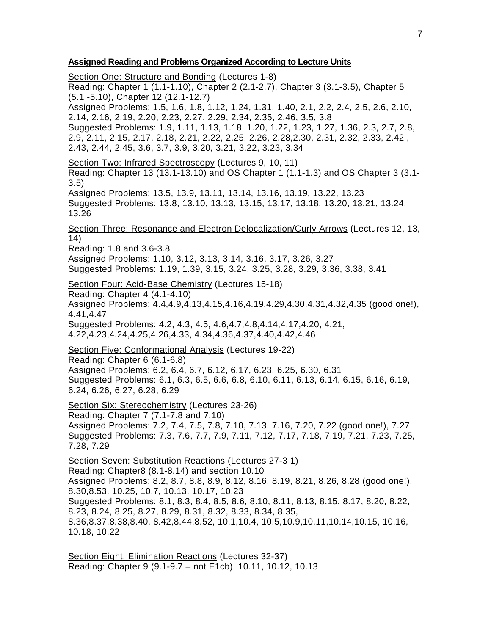### **Assigned Reading and Problems Organized According to Lecture Units**

Section One: Structure and Bonding (Lectures 1-8) Reading: Chapter 1 (1.1-1.10), Chapter 2 (2.1-2.7), Chapter 3 (3.1-3.5), Chapter 5 (5.1 -5.10), Chapter 12 (12.1-12.7) Assigned Problems: 1.5, 1.6, 1.8, 1.12, 1.24, 1.31, 1.40, 2.1, 2.2, 2.4, 2.5, 2.6, 2.10, 2.14, 2.16, 2.19, 2.20, 2.23, 2.27, 2.29, 2.34, 2.35, 2.46, 3.5, 3.8 Suggested Problems: 1.9, 1.11, 1.13, 1.18, 1.20, 1.22, 1.23, 1.27, 1.36, 2.3, 2.7, 2.8, 2.9, 2.11, 2.15, 2.17, 2.18, 2.21, 2.22, 2.25, 2.26, 2.28,2.30, 2.31, 2.32, 2.33, 2.42 , 2.43, 2.44, 2.45, 3.6, 3.7, 3.9, 3.20, 3.21, 3.22, 3.23, 3.34 Section Two: Infrared Spectroscopy (Lectures 9, 10, 11) Reading: Chapter 13 (13.1-13.10) and OS Chapter 1 (1.1-1.3) and OS Chapter 3 (3.1- 3.5) Assigned Problems: 13.5, 13.9, 13.11, 13.14, 13.16, 13.19, 13.22, 13.23 Suggested Problems: 13.8, 13.10, 13.13, 13.15, 13.17, 13.18, 13.20, 13.21, 13.24, 13.26 Section Three: Resonance and Electron Delocalization/Curly Arrows (Lectures 12, 13, 14) Reading: 1.8 and 3.6-3.8 Assigned Problems: 1.10, 3.12, 3.13, 3.14, 3.16, 3.17, 3.26, 3.27 Suggested Problems: 1.19, 1.39, 3.15, 3.24, 3.25, 3.28, 3.29, 3.36, 3.38, 3.41 Section Four: Acid-Base Chemistry (Lectures 15-18) Reading: Chapter 4 (4.1-4.10) Assigned Problems: 4.4,4.9,4.13,4.15,4.16,4.19,4.29,4.30,4.31,4.32,4.35 (good one!), 4.41,4.47 Suggested Problems: 4.2, 4.3, 4.5, 4.6,4.7,4.8,4.14,4.17,4.20, 4.21, 4.22,4.23,4.24,4.25,4.26,4.33, 4.34,4.36,4.37,4.40,4.42,4.46 Section Five: Conformational Analysis (Lectures 19-22) Reading: Chapter 6 (6.1-6.8) Assigned Problems: 6.2, 6.4, 6.7, 6.12, 6.17, 6.23, 6.25, 6.30, 6.31 Suggested Problems: 6.1, 6.3, 6.5, 6.6, 6.8, 6.10, 6.11, 6.13, 6.14, 6.15, 6.16, 6.19, 6.24, 6.26, 6.27, 6.28, 6.29 Section Six: Stereochemistry (Lectures 23-26) Reading: Chapter 7 (7.1-7.8 and 7.10) Assigned Problems: 7.2, 7.4, 7.5, 7.8, 7.10, 7.13, 7.16, 7.20, 7.22 (good one!), 7.27 Suggested Problems: 7.3, 7.6, 7.7, 7.9, 7.11, 7.12, 7.17, 7.18, 7.19, 7.21, 7.23, 7.25, 7.28, 7.29 Section Seven: Substitution Reactions (Lectures 27-3 1) Reading: Chapter8 (8.1-8.14) and section 10.10 Assigned Problems: 8.2, 8.7, 8.8, 8.9, 8.12, 8.16, 8.19, 8.21, 8.26, 8.28 (good one!), 8.30,8.53, 10.25, 10.7, 10.13, 10.17, 10.23 Suggested Problems: 8.1, 8.3, 8.4, 8.5, 8.6, 8.10, 8.11, 8.13, 8.15, 8.17, 8.20, 8.22, 8.23, 8.24, 8.25, 8.27, 8.29, 8.31, 8.32, 8.33, 8.34, 8.35, 8.36,8.37,8.38,8.40, 8.42,8.44,8.52, 10.1,10.4, 10.5,10.9,10.11,10.14,10.15, 10.16, 10.18, 10.22

Section Eight: Elimination Reactions (Lectures 32-37) Reading: Chapter 9 (9.1-9.7 – not E1cb), 10.11, 10.12, 10.13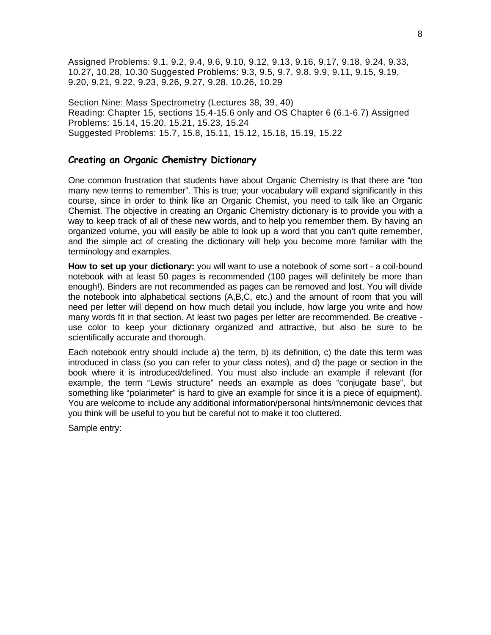Assigned Problems: 9.1, 9.2, 9.4, 9.6, 9.10, 9.12, 9.13, 9.16, 9.17, 9.18, 9.24, 9.33, 10.27, 10.28, 10.30 Suggested Problems: 9.3, 9.5, 9.7, 9.8, 9.9, 9.11, 9.15, 9.19, 9.20, 9.21, 9.22, 9.23, 9.26, 9.27, 9.28, 10.26, 10.29

Section Nine: Mass Spectrometry (Lectures 38, 39, 40) Reading: Chapter 15, sections 15.4-15.6 only and OS Chapter 6 (6.1-6.7) Assigned Problems: 15.14, 15.20, 15.21, 15.23, 15.24 Suggested Problems: 15.7, 15.8, 15.11, 15.12, 15.18, 15.19, 15.22

## **Creating an Organic Chemistry Dictionary**

One common frustration that students have about Organic Chemistry is that there are "too many new terms to remember". This is true; your vocabulary will expand significantly in this course, since in order to think like an Organic Chemist, you need to talk like an Organic Chemist. The objective in creating an Organic Chemistry dictionary is to provide you with a way to keep track of all of these new words, and to help you remember them. By having an organized volume, you will easily be able to look up a word that you can't quite remember, and the simple act of creating the dictionary will help you become more familiar with the terminology and examples.

**How to set up your dictionary:** you will want to use a notebook of some sort - a coil-bound notebook with at least 50 pages is recommended (100 pages will definitely be more than enough!). Binders are not recommended as pages can be removed and lost. You will divide the notebook into alphabetical sections (A,B,C, etc.) and the amount of room that you will need per letter will depend on how much detail you include, how large you write and how many words fit in that section. At least two pages per letter are recommended. Be creative use color to keep your dictionary organized and attractive, but also be sure to be scientifically accurate and thorough.

Each notebook entry should include a) the term, b) its definition, c) the date this term was introduced in class (so you can refer to your class notes), and d) the page or section in the book where it is introduced/defined. You must also include an example if relevant (for example, the term "Lewis structure" needs an example as does "conjugate base", but something like "polarimeter" is hard to give an example for since it is a piece of equipment). You are welcome to include any additional information/personal hints/mnemonic devices that you think will be useful to you but be careful not to make it too cluttered.

Sample entry: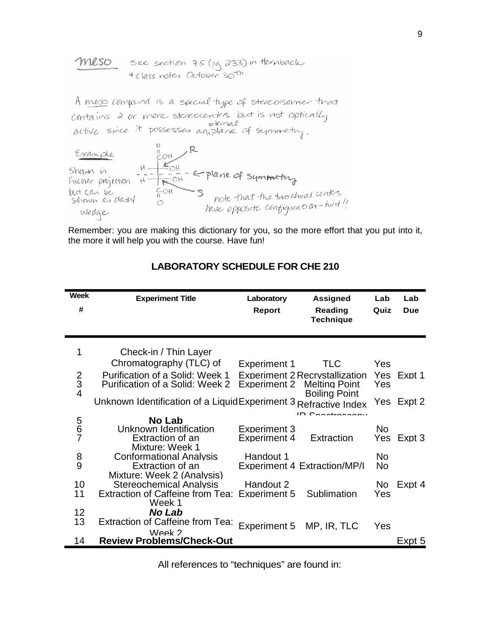| meso | see section 75 (29, 233) in thomback   |
|------|----------------------------------------|
|      | <sup>4</sup> Class notes October 30th. |

A meso compund is a special type of stereoisonner that contains 2 or more stereocenters but is not optically<br>active since it possesses anotane of symmetry.



Remember: you are making this dictionary for you, so the more effort that you put into it, the more it will help you with the course. Have fun!

| <b>Week</b>   | <b>Experiment Title</b>                                            | Laboratory                                 | <b>Assigned</b>                                               | Lab        | Lab        |
|---------------|--------------------------------------------------------------------|--------------------------------------------|---------------------------------------------------------------|------------|------------|
| #             |                                                                    | <b>Report</b>                              | Reading<br><b>Technique</b>                                   | Quiz       | Due        |
| 1             | Check-in / Thin Layer                                              |                                            |                                                               |            |            |
|               | Chromatography (TLC) of                                            | <b>Experiment 1</b>                        | TLC.                                                          | Yes        |            |
| $\frac{2}{3}$ | Purification of a Solid: Week 1<br>Purification of a Solid: Week 2 | <b>Experiment 2</b>                        | <b>Experiment 2 Recrystallization</b><br><b>Melting Point</b> | Yes<br>Yes | Expt 1     |
|               | Unknown Identification of a LiquidExperiment 3 Refractive Index    |                                            | <b>Boiling Point</b><br>$ID$ $Concatxo2$                      |            | Yes Expt 2 |
|               | No Lab                                                             |                                            |                                                               |            |            |
| 5<br>6<br>7   | Unknown Identification<br>Extraction of an<br>Mixture: Week 1      | <b>Experiment 3</b><br><b>Experiment 4</b> | Extraction                                                    | No<br>Yes  | Expt 3     |
| $\frac{8}{9}$ | <b>Conformational Analysis</b>                                     | Handout 1                                  |                                                               | No         |            |
|               | Extraction of an                                                   |                                            | <b>Experiment 4 Extraction/MP/I</b>                           | No         |            |
| 10            | Mixture: Week 2 (Analysis)<br>Stereochemical Analysis              | Handout 2                                  |                                                               | No         | Expt 4     |
| 11            | Extraction of Caffeine from Tea: Experiment 5                      |                                            | Sublimation                                                   | Yes        |            |
|               | Week 1                                                             |                                            |                                                               |            |            |
| 12            | No Lab                                                             |                                            |                                                               |            |            |
| 13            | <b>Extraction of Caffeine from Tea:</b>                            | Experiment 5                               | MP, IR, TLC                                                   | Yes        |            |
| 14            | Week 2<br><b>Review Problems/Check-Out</b>                         |                                            |                                                               |            | Expt 5     |

## **LABORATORY SCHEDULE FOR CHE 210**

All references to "techniques" are found in: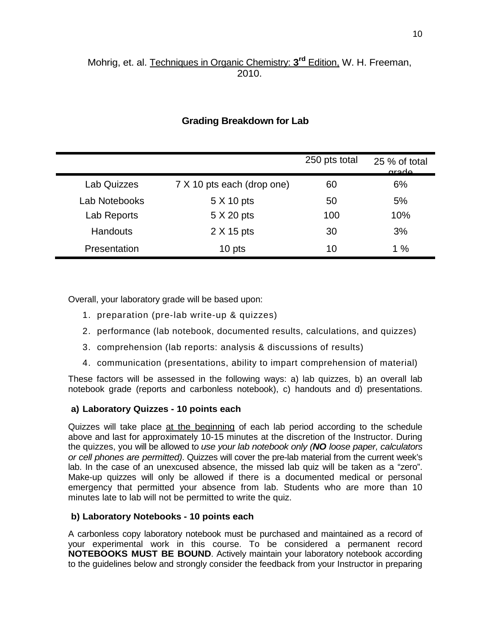# Mohrig, et. al. Techniques in Organic Chemistry: **3rd** Edition, W. H. Freeman, 2010.

|                    |                            | 250 pts total | 25 % of total<br>arado |
|--------------------|----------------------------|---------------|------------------------|
| <b>Lab Quizzes</b> | 7 X 10 pts each (drop one) | 60            | 6%                     |
| Lab Notebooks      | 5 X 10 pts                 | 50            | 5%                     |
| Lab Reports        | 5 X 20 pts                 | 100           | 10%                    |
| <b>Handouts</b>    | 2 X 15 pts                 | 30            | 3%                     |
| Presentation       | 10 pts                     | 10            | 1%                     |

## **Grading Breakdown for Lab**

Overall, your laboratory grade will be based upon:

- 1. preparation (pre-lab write-up & quizzes)
- 2. performance (lab notebook, documented results, calculations, and quizzes)
- 3. comprehension (lab reports: analysis & discussions of results)
- 4. communication (presentations, ability to impart comprehension of material)

These factors will be assessed in the following ways: a) lab quizzes, b) an overall lab notebook grade (reports and carbonless notebook), c) handouts and d) presentations.

## **a) Laboratory Quizzes - 10 points each**

Quizzes will take place at the beginning of each lab period according to the schedule above and last for approximately 10-15 minutes at the discretion of the Instructor. During the quizzes, you will be allowed to *use your lab notebook only (NO loose paper, calculators or cell phones are permitted)*. Quizzes will cover the pre-lab material from the current week's lab. In the case of an unexcused absence, the missed lab quiz will be taken as a "zero". Make-up quizzes will only be allowed if there is a documented medical or personal emergency that permitted your absence from lab. Students who are more than 10 minutes late to lab will not be permitted to write the quiz.

## **b) Laboratory Notebooks - 10 points each**

A carbonless copy laboratory notebook must be purchased and maintained as a record of your experimental work in this course. To be considered a permanent record **NOTEBOOKS MUST BE BOUND**. Actively maintain your laboratory notebook according to the guidelines below and strongly consider the feedback from your Instructor in preparing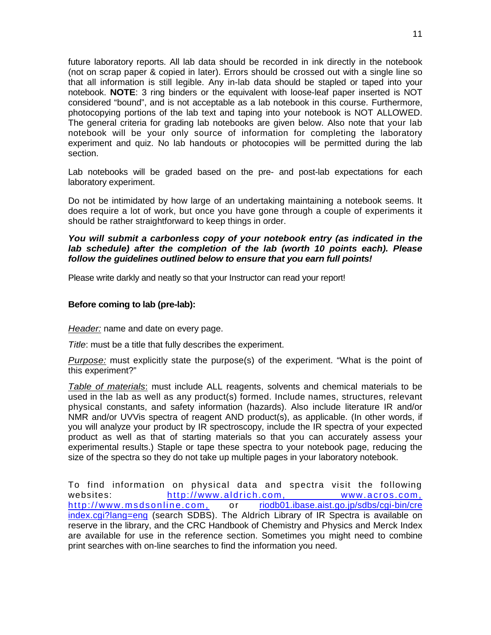future laboratory reports. All lab data should be recorded in ink directly in the notebook (not on scrap paper & copied in later). Errors should be crossed out with a single line so that all information is still legible. Any in-lab data should be stapled or taped into your notebook. **NOTE**: 3 ring binders or the equivalent with loose-leaf paper inserted is NOT considered "bound", and is not acceptable as a lab notebook in this course. Furthermore, photocopying portions of the lab text and taping into your notebook is NOT ALLOWED. The general criteria for grading lab notebooks are given below. Also note that your lab notebook will be your only source of information for completing the laboratory experiment and quiz. No lab handouts or photocopies will be permitted during the lab section.

Lab notebooks will be graded based on the pre- and post-lab expectations for each laboratory experiment.

Do not be intimidated by how large of an undertaking maintaining a notebook seems. It does require a lot of work, but once you have gone through a couple of experiments it should be rather straightforward to keep things in order.

## *You will submit a carbonless copy of your notebook entry (as indicated in the lab schedule) after the completion of the lab (worth 10 points each). Please follow the guidelines outlined below to ensure that you earn full points!*

Please write darkly and neatly so that your Instructor can read your report!

## **Before coming to lab (pre-lab):**

*Header:* name and date on every page.

*Title*: must be a title that fully describes the experiment.

*Purpose:* must explicitly state the purpose(s) of the experiment. "What is the point of this experiment?"

*Table of materials*: must include ALL reagents, solvents and chemical materials to be used in the lab as well as any product(s) formed. Include names, structures, relevant physical constants, and safety information (hazards). Also include literature IR and/or NMR and/or UVVis spectra of reagent AND product(s), as applicable. (In other words, if you will analyze your product by IR spectroscopy, include the IR spectra of your expected product as well as that of starting materials so that you can accurately assess your experimental results.) Staple or tape these spectra to your notebook page, reducing the size of the spectra so they do not take up multiple pages in your laboratory notebook.

To find information on physical data and spectra visit the following websites: [http://www.aldrich.com,](http://www.aldrich.com/) [www.acros.com,](http://www.acros.com/)<br>http://www.msdsonline.com, or riodb01.ibase.aist.go.jp/sdbs/cqi-bin/cre or [riodb01.ibase.aist.go.jp/sdbs/cgi-bin/cre](http://riodb01.ibase.aist.go.jp/sdbs/cgi-bin/cre) index.cgi?lang=eng (search SDBS). The Aldrich Library of IR Spectra is available on reserve in the library, and the CRC Handbook of Chemistry and Physics and Merck Index are available for use in the reference section. Sometimes you might need to combine print searches with on-line searches to find the information you need.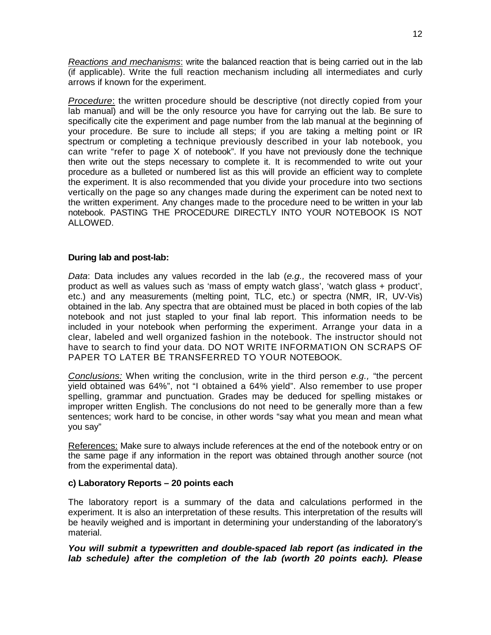*Reactions and mechanisms*: write the balanced reaction that is being carried out in the lab (if applicable). Write the full reaction mechanism including all intermediates and curly arrows if known for the experiment.

*Procedure*: the written procedure should be descriptive (not directly copied from your lab manual) and will be the only resource you have for carrying out the lab. Be sure to specifically cite the experiment and page number from the lab manual at the beginning of your procedure. Be sure to include all steps; if you are taking a melting point or IR spectrum or completing a technique previously described in your lab notebook, you can write "refer to page X of notebook". If you have not previously done the technique then write out the steps necessary to complete it. It is recommended to write out your procedure as a bulleted or numbered list as this will provide an efficient way to complete the experiment. It is also recommended that you divide your procedure into two sections vertically on the page so any changes made during the experiment can be noted next to the written experiment. Any changes made to the procedure need to be written in your lab notebook. PASTING THE PROCEDURE DIRECTLY INTO YOUR NOTEBOOK IS NOT ALLOWED.

### **During lab and post-lab:**

*Data*: Data includes any values recorded in the lab (*e.g.,* the recovered mass of your product as well as values such as 'mass of empty watch glass', 'watch glass + product', etc.) and any measurements (melting point, TLC, etc.) or spectra (NMR, IR, UV-Vis) obtained in the lab. Any spectra that are obtained must be placed in both copies of the lab notebook and not just stapled to your final lab report. This information needs to be included in your notebook when performing the experiment. Arrange your data in a clear, labeled and well organized fashion in the notebook. The instructor should not have to search to find your data. DO NOT WRITE INFORMATION ON SCRAPS OF PAPER TO LATER BE TRANSFERRED TO YOUR NOTEBOOK.

*Conclusions:* When writing the conclusion, write in the third person *e.g.,* "the percent yield obtained was 64%", not "I obtained a 64% yield". Also remember to use proper spelling, grammar and punctuation. Grades may be deduced for spelling mistakes or improper written English. The conclusions do not need to be generally more than a few sentences; work hard to be concise, in other words "say what you mean and mean what you say"

References: Make sure to always include references at the end of the notebook entry or on the same page if any information in the report was obtained through another source (not from the experimental data).

#### **c) Laboratory Reports – 20 points each**

The laboratory report is a summary of the data and calculations performed in the experiment. It is also an interpretation of these results. This interpretation of the results will be heavily weighed and is important in determining your understanding of the laboratory's material.

*You will submit a typewritten and double-spaced lab report (as indicated in the lab schedule) after the completion of the lab (worth 20 points each). Please*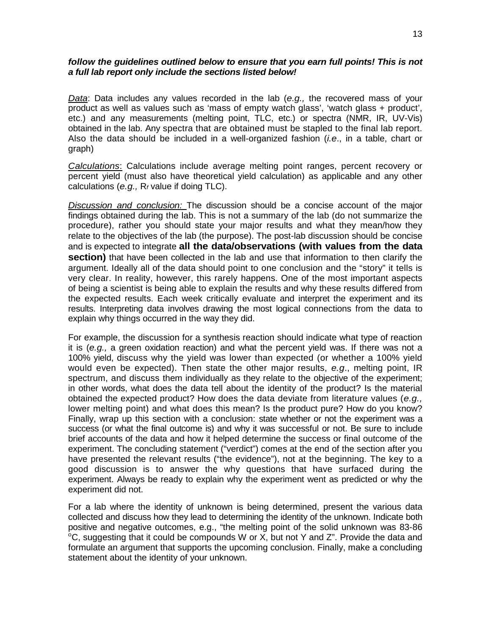#### follow the guidelines outlined below to ensure that you earn full points! This is not *a full lab report only include the sections listed below!*

*Data*: Data includes any values recorded in the lab (*e.g.,* the recovered mass of your product as well as values such as 'mass of empty watch glass', 'watch glass + product', etc.) and any measurements (melting point, TLC, etc.) or spectra (NMR, IR, UV-Vis) obtained in the lab. Any spectra that are obtained must be stapled to the final lab report. Also the data should be included in a well-organized fashion (*i.e*., in a table, chart or graph)

*Calculations*: Calculations include average melting point ranges, percent recovery or percent yield (must also have theoretical yield calculation) as applicable and any other calculations (*e.g.,* R*<sup>f</sup>* value if doing TLC).

*Discussion and conclusion:* The discussion should be a concise account of the major findings obtained during the lab. This is not a summary of the lab (do not summarize the procedure), rather you should state your major results and what they mean/how they relate to the objectives of the lab (the purpose). The post-lab discussion should be concise and is expected to integrate **all the data/observations (with values from the data section)** that have been collected in the lab and use that information to then clarify the argument. Ideally all of the data should point to one conclusion and the "story" it tells is very clear. In reality, however, this rarely happens. One of the most important aspects of being a scientist is being able to explain the results and why these results differed from the expected results. Each week critically evaluate and interpret the experiment and its results. Interpreting data involves drawing the most logical connections from the data to explain why things occurred in the way they did.

For example, the discussion for a synthesis reaction should indicate what type of reaction it is (*e.g.,* a green oxidation reaction) and what the percent yield was. If there was not a 100% yield, discuss why the yield was lower than expected (or whether a 100% yield would even be expected). Then state the other major results, *e.g*., melting point, IR spectrum, and discuss them individually as they relate to the objective of the experiment; in other words, what does the data tell about the identity of the product? Is the material obtained the expected product? How does the data deviate from literature values (*e.g.,*  lower melting point) and what does this mean? Is the product pure? How do you know? Finally, wrap up this section with a conclusion: state whether or not the experiment was a success (or what the final outcome is) and why it was successful or not. Be sure to include brief accounts of the data and how it helped determine the success or final outcome of the experiment. The concluding statement ("verdict") comes at the end of the section after you have presented the relevant results ("the evidence"), not at the beginning. The key to a good discussion is to answer the why questions that have surfaced during the experiment. Always be ready to explain why the experiment went as predicted or why the experiment did not.

For a lab where the identity of unknown is being determined, present the various data collected and discuss how they lead to determining the identity of the unknown. Indicate both positive and negative outcomes, e.g., "the melting point of the solid unknown was 83-86  ${}^{\circ}$ C, suggesting that it could be compounds W or X, but not Y and Z". Provide the data and formulate an argument that supports the upcoming conclusion. Finally, make a concluding statement about the identity of your unknown.